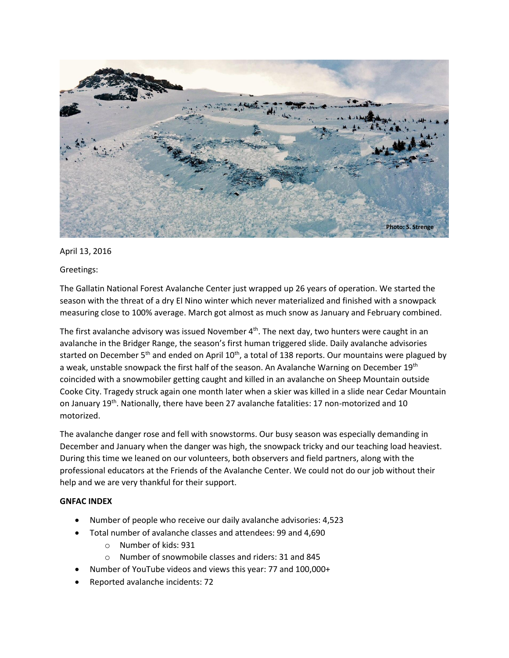

## April 13, 2016

## Greetings:

The Gallatin National Forest Avalanche Center just wrapped up 26 years of operation. We started the season with the threat of a dry El Nino winter which never materialized and finished with a snowpack measuring close to 100% average. March got almost as much snow as January and February combined.

The first avalanche advisory was issued November  $4<sup>th</sup>$ . The next day, two hunters were caught in an avalanche in the Bridger Range, the season's first human triggered slide. Daily avalanche advisories started on December 5<sup>th</sup> and ended on April 10<sup>th</sup>, a total of 138 reports. Our mountains were plagued by a weak, unstable snowpack the first half of the season. An Avalanche Warning on December 19<sup>th</sup> coincided with a snowmobiler getting caught and killed in an avalanche on Sheep Mountain outside Cooke City. Tragedy struck again one month later when a skier was killed in a slide near Cedar Mountain on January 19th. Nationally, there have been 27 avalanche fatalities: 17 non-motorized and 10 motorized.

The avalanche danger rose and fell with snowstorms. Our busy season was especially demanding in December and January when the danger was high, the snowpack tricky and our teaching load heaviest. During this time we leaned on our volunteers, both observers and field partners, along with the professional educators at the Friends of the Avalanche Center. We could not do our job without their help and we are very thankful for their support.

## **GNFAC INDEX**

- Number of people who receive our daily avalanche advisories: 4,523
	- Total number of avalanche classes and attendees: 99 and 4,690
		- o Number of kids: 931
		- o Number of snowmobile classes and riders: 31 and 845
- Number of YouTube videos and views this year: 77 and 100,000+
- Reported avalanche incidents: 72